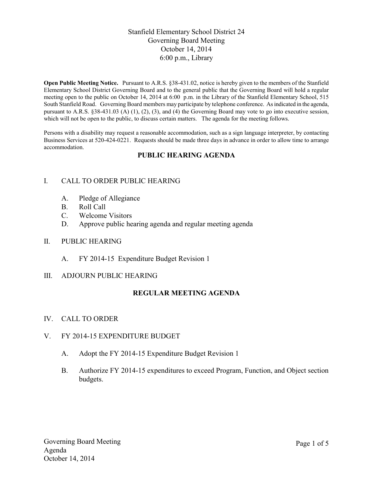# Stanfield Elementary School District 24 Governing Board Meeting October 14, 2014 6:00 p.m., Library

**Open Public Meeting Notice.** Pursuant to A.R.S. §38-431.02, notice is hereby given to the members of the Stanfield Elementary School District Governing Board and to the general public that the Governing Board will hold a regular meeting open to the public on October 14, 2014 at 6:00 p.m. in the Library of the Stanfield Elementary School, 515 South Stanfield Road. Governing Board members may participate by telephone conference. As indicated in the agenda, pursuant to A.R.S. §38-431.03 (A) (1), (2), (3), and (4) the Governing Board may vote to go into executive session, which will not be open to the public, to discuss certain matters. The agenda for the meeting follows.

Persons with a disability may request a reasonable accommodation, such as a sign language interpreter, by contacting Business Services at 520-424-0221. Requests should be made three days in advance in order to allow time to arrange accommodation.

# **PUBLIC HEARING AGENDA**

# I. CALL TO ORDER PUBLIC HEARING

- A. Pledge of Allegiance
- B. Roll Call
- C. Welcome Visitors
- D. Approve public hearing agenda and regular meeting agenda

#### II. PUBLIC HEARING

A. FY 2014-15 Expenditure Budget Revision 1

#### III. ADJOURN PUBLIC HEARING

# **REGULAR MEETING AGENDA**

#### IV. CALL TO ORDER

#### V. FY 2014-15 EXPENDITURE BUDGET

- A. Adopt the FY 2014-15 Expenditure Budget Revision 1
- B. Authorize FY 2014-15 expenditures to exceed Program, Function, and Object section budgets.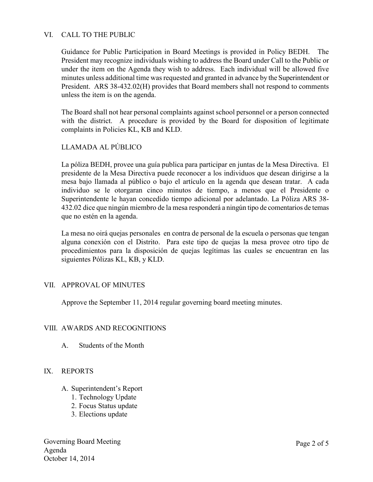# VI. CALL TO THE PUBLIC

Guidance for Public Participation in Board Meetings is provided in Policy BEDH. The President may recognize individuals wishing to address the Board under Call to the Public or under the item on the Agenda they wish to address. Each individual will be allowed five minutes unless additional time was requested and granted in advance by the Superintendent or President. ARS 38-432.02(H) provides that Board members shall not respond to comments unless the item is on the agenda.

The Board shall not hear personal complaints against school personnel or a person connected with the district. A procedure is provided by the Board for disposition of legitimate complaints in Policies KL, KB and KLD.

# LLAMADA AL PÚBLICO

La póliza BEDH, provee una guía publica para participar en juntas de la Mesa Directiva. El presidente de la Mesa Directiva puede reconocer a los individuos que desean dirigirse a la mesa bajo llamada al público o bajo el artículo en la agenda que desean tratar. A cada individuo se le otorgaran cinco minutos de tiempo, a menos que el Presidente o Superintendente le hayan concedido tiempo adicional por adelantado. La Póliza ARS 38- 432.02 dice que ningún miembro de la mesa responderá a ningún tipo de comentarios de temas que no estén en la agenda.

La mesa no oirá quejas personales en contra de personal de la escuela o personas que tengan alguna conexión con el Distrito. Para este tipo de quejas la mesa provee otro tipo de procedimientos para la disposición de quejas legítimas las cuales se encuentran en las siguientes Pólizas KL, KB, y KLD.

# VII. APPROVAL OF MINUTES

Approve the September 11, 2014 regular governing board meeting minutes.

# VIII. AWARDS AND RECOGNITIONS

A. Students of the Month

# IX. REPORTS

- A. Superintendent's Report
	- 1. Technology Update
	- 2. Focus Status update
	- 3. Elections update

Governing Board Meeting Agenda October 14, 2014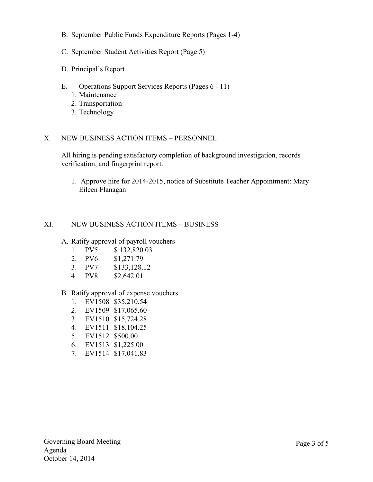- B. September Public Funds Expenditure Reports (Pages 1-4)
- C. September Student Activities Report (Page 5)
- D. Principal's Report
- E. Operations Support Services Reports (Pages 6 11)
	- 1. Maintenance
	- 2. Transportation
	- 3. Technology

#### X. NEW BUSINESS ACTION ITEMS – PERSONNEL

All hiring is pending satisfactory completion of background investigation, records verification, and fingerprint report.

1. Approve hire for 2014-2015, notice of Substitute Teacher Appointment: Mary Eileen Flanagan

#### XI. NEW BUSINESS ACTION ITEMS – BUSINESS

- A. Ratify approval of payroll vouchers
	- 1. PV5 \$ 132,820.03
	- 2. PV6 \$1,271.79
	- 3. PV7 \$133,128.12
	- 4. PV8 \$2,642.01

#### B. Ratify approval of expense vouchers

- 1. EV1508 \$35,210.54
- 2. EV1509 \$17,065.60
- 3. EV1510 \$15,724.28
- 4. EV1511 \$18,104.25
- 5. EV1512 \$500.00
- 6. EV1513 \$1,225.00
- 7. EV1514 \$17,041.83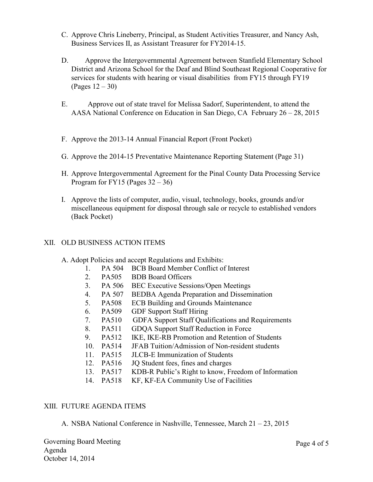- C. Approve Chris Lineberry, Principal, as Student Activities Treasurer, and Nancy Ash, Business Services II, as Assistant Treasurer for FY2014-15.
- D. Approve the Intergovernmental Agreement between Stanfield Elementary School District and Arizona School for the Deaf and Blind Southeast Regional Cooperative for services for students with hearing or visual disabilities from FY15 through FY19 (Pages 12 – 30)
- E. Approve out of state travel for Melissa Sadorf, Superintendent, to attend the AASA National Conference on Education in San Diego, CA February 26 – 28, 2015
- F. Approve the 2013-14 Annual Financial Report (Front Pocket)
- G. Approve the 2014-15 Preventative Maintenance Reporting Statement (Page 31)
- H. Approve Intergovernmental Agreement for the Pinal County Data Processing Service Program for FY15 (Pages  $32 - 36$ )
- I. Approve the lists of computer, audio, visual, technology, books, grounds and/or miscellaneous equipment for disposal through sale or recycle to established vendors (Back Pocket)

#### XII. OLD BUSINESS ACTION ITEMS

- A. Adopt Policies and accept Regulations and Exhibits:
	- 1. PA 504 BCB Board Member Conflict of Interest
	- 2. PA505 BDB Board Officers
	- 3. PA 506 BEC Executive Sessions/Open Meetings
	- 4. PA 507 BEDBA Agenda Preparation and Dissemination
	- 5. PA508 ECB Building and Grounds Maintenance
	- 6. PA509 GDF Support Staff Hiring
	- 7. PA510 GDFA Support Staff Qualifications and Requirements
	- 8. PA511 GDQA Support Staff Reduction in Force<br>9. PA512 IKE, IKE-RB Promotion and Retention of
	- 9. PA512 IKE, IKE-RB Promotion and Retention of Students
	- 10. PA514 JFAB Tuition/Admission of Non-resident students
	- 11. PA515 JLCB-E Immunization of Students
	- 12. PA516 JQ Student fees, fines and charges
	- 13. PA517 KDB-R Public's Right to know, Freedom of Information
	- 14. PA518 KF, KF-EA Community Use of Facilities

#### XIII. FUTURE AGENDA ITEMS

A. NSBA National Conference in Nashville, Tennessee, March 21 – 23, 2015